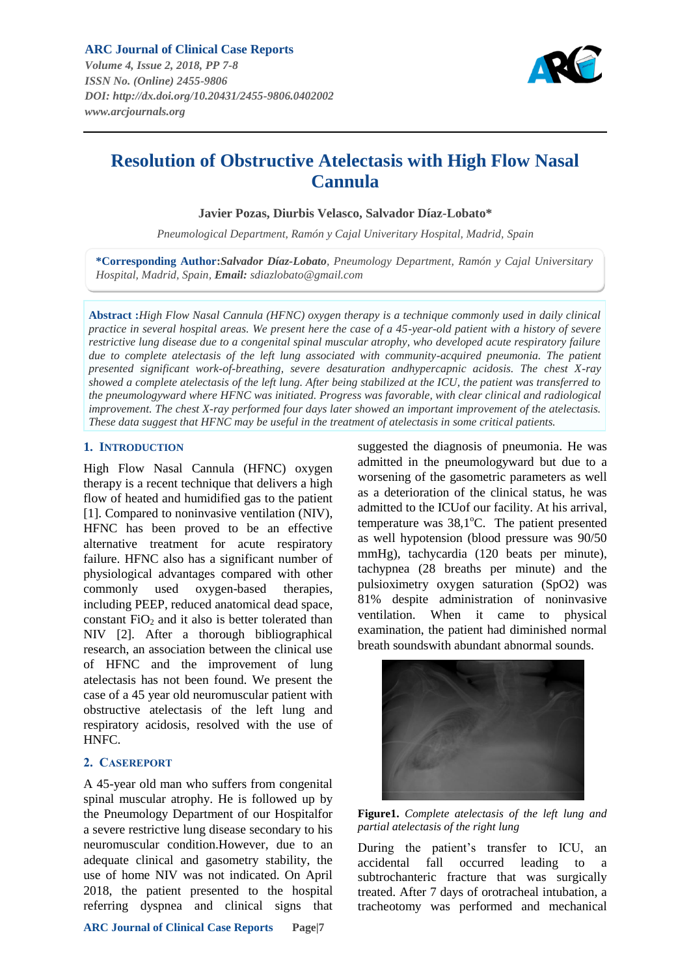

# **Resolution of Obstructive Atelectasis with High Flow Nasal Cannula**

**Javier Pozas, Diurbis Velasco, Salvador Díaz-Lobato\***

*Pneumological Department, Ramón y Cajal Univeritary Hospital, Madrid, Spain*

**\*Corresponding Author:***Salvador Díaz-Lobato, Pneumology Department, Ramón y Cajal Universitary Hospital, Madrid, Spain, Email: sdiazlobato@gmail.com*

**Abstract :***High Flow Nasal Cannula (HFNC) oxygen therapy is a technique commonly used in daily clinical practice in several hospital areas. We present here the case of a 45-year-old patient with a history of severe restrictive lung disease due to a congenital spinal muscular atrophy, who developed acute respiratory failure*  due to complete atelectasis of the left lung associated with community-acquired pneumonia. The patient *presented significant work-of-breathing, severe desaturation andhypercapnic acidosis. The chest X-ray showed a complete atelectasis of the left lung. After being stabilized at the ICU, the patient was transferred to the pneumologyward where HFNC was initiated. Progress was favorable, with clear clinical and radiological improvement. The chest X-ray performed four days later showed an important improvement of the atelectasis. These data suggest that HFNC may be useful in the treatment of atelectasis in some critical patients.*

#### **1. INTRODUCTION**

High Flow Nasal Cannula (HFNC) oxygen therapy is a recent technique that delivers a high flow of heated and humidified gas to the patient [1]. Compared to noninvasive ventilation (NIV), HFNC has been proved to be an effective alternative treatment for acute respiratory failure. HFNC also has a significant number of physiological advantages compared with other commonly used oxygen-based therapies, including PEEP, reduced anatomical dead space, constant  $FiO<sub>2</sub>$  and it also is better tolerated than NIV [2]. After a thorough bibliographical research, an association between the clinical use of HFNC and the improvement of lung atelectasis has not been found. We present the case of a 45 year old neuromuscular patient with obstructive atelectasis of the left lung and respiratory acidosis, resolved with the use of HNFC.

## **2. CASEREPORT**

A 45-year old man who suffers from congenital spinal muscular atrophy. He is followed up by the Pneumology Department of our Hospitalfor a severe restrictive lung disease secondary to his neuromuscular condition.However, due to an adequate clinical and gasometry stability, the use of home NIV was not indicated. On April 2018, the patient presented to the hospital referring dyspnea and clinical signs that

suggested the diagnosis of pneumonia. He was admitted in the pneumologyward but due to a worsening of the gasometric parameters as well as a deterioration of the clinical status, he was admitted to the ICUof our facility. At his arrival, temperature was  $38,1^{\circ}$ C. The patient presented as well hypotension (blood pressure was 90/50 mmHg), tachycardia (120 beats per minute), tachypnea (28 breaths per minute) and the pulsioximetry oxygen saturation (SpO2) was 81% despite administration of noninvasive ventilation. When it came to physical examination, the patient had diminished normal breath soundswith abundant abnormal sounds.



**Figure1.** *Complete atelectasis of the left lung and partial atelectasis of the right lung*

During the patient's transfer to ICU, an accidental fall occurred leading to a subtrochanteric fracture that was surgically treated. After 7 days of orotracheal intubation, a tracheotomy was performed and mechanical